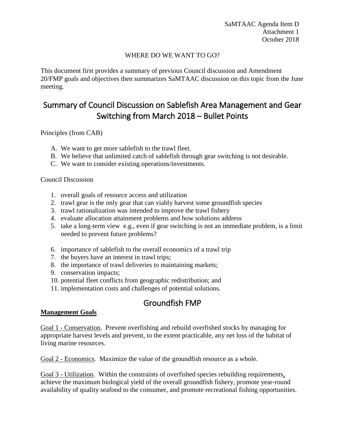### WHERE DO WE WANT TO GO?

This document first provides a summary of previous Council discussion and Amendment 20/FMP goals and objectives then summarizes SaMTAAC discussion on this topic from the June meeting.

# Summary of Council Discussion on Sablefish Area Management and Gear Switching from March 2018 – Bullet Points

Principles (from CAB)

- A. We want to get more sablefish to the trawl fleet.
- B. We believe that unlimited catch of sablefish through gear switching is not desirable.
- C. We want to consider existing operations/investments.

#### Council Discussion

- 1. overall goals of resource access and utilization
- 2. trawl gear is the only gear that can viably harvest some groundfish species
- 3. trawl rationalization was intended to improve the trawl fishery
- 4. evaluate allocation attainment problems and how solutions address
- 5. take a long-term view e.g., even if gear switching is not an immediate problem, is a limit needed to prevent future problems?
- 6. importance of sablefish to the overall economics of a trawl trip
- 7. the buyers have an interest in trawl trips;
- 8. the importance of trawl deliveries to maintaining markets;
- 9. conservation impacts;
- 10. potential fleet conflicts from geographic redistribution; and
- 11. implementation costs and challenges of potential solutions.

## Groundfish FMP

#### **Management Goals**

Goal 1 - Conservation. Prevent overfishing and rebuild overfished stocks by managing for appropriate harvest levels and prevent, to the extent practicable, any net loss of the habitat of living marine resources.

Goal 2 - Economics. Maximize the value of the groundfish resource as a whole.

Goal 3 - Utilization. Within the constraints of overfished species rebuilding requirements, achieve the maximum biological yield of the overall groundfish fishery, promote year-round availability of quality seafood to the consumer, and promote recreational fishing opportunities.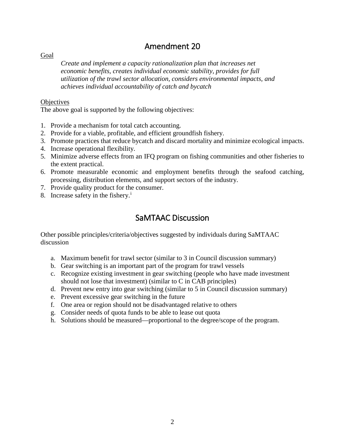# Amendment 20

Goal

*Create and implement a capacity rationalization plan that increases net economic benefits, creates individual economic stability, provides for full utilization of the trawl sector allocation, considers environmental impacts, and achieves individual accountability of catch and bycatch* 

#### **Objectives**

The above goal is supported by the following objectives:

- 1. Provide a mechanism for total catch accounting.
- 2. Provide for a viable, profitable, and efficient groundfish fishery.
- 3. Promote practices that reduce bycatch and discard mortality and minimize ecological impacts.
- 4. Increase operational flexibility.
- 5. Minimize adverse effects from an IFQ program on fishing communities and other fisheries to the extent practical.
- 6. Promote measurable economic and employment benefits through the seafood catching, processing, distribution elements, and support sectors of the industry.
- 7. Provide quality product for the consumer.
- 8. Increase safety [i](#page-2-0)n the fishery.<sup>i</sup>

### SaMTAAC Discussion

Other possible principles/criteria/objectives suggested by individuals during SaMTAAC discussion

- a. Maximum benefit for trawl sector (similar to 3 in Council discussion summary)
- b. Gear switching is an important part of the program for trawl vessels
- c. Recognize existing investment in gear switching (people who have made investment should not lose that investment) (similar to C in CAB principles)
- d. Prevent new entry into gear switching (similar to 5 in Council discussion summary)
- e. Prevent excessive gear switching in the future
- f. One area or region should not be disadvantaged relative to others
- g. Consider needs of quota funds to be able to lease out quota
- h. Solutions should be measured—proportional to the degree/scope of the program.